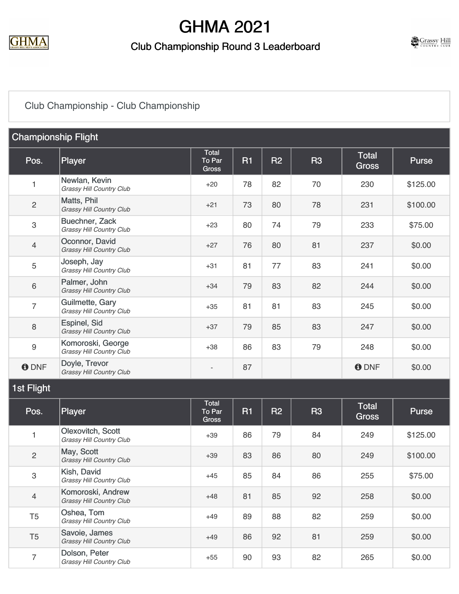

#### Club Championship Round 3 Leaderboard



### [Club Championship - Club Championship](https://cdn2.golfgenius.com/v2tournaments/7722873405665464680?called_from=&round_index=23)

| <b>Championship Flight</b> |                                                      |                                        |           |                |           |                       |              |  |
|----------------------------|------------------------------------------------------|----------------------------------------|-----------|----------------|-----------|-----------------------|--------------|--|
| Pos.                       | Player                                               | <b>Total</b><br>To Par<br><b>Gross</b> | <b>R1</b> | R <sub>2</sub> | <b>R3</b> | Total<br><b>Gross</b> | <b>Purse</b> |  |
| 1                          | Newlan, Kevin<br>Grassy Hill Country Club            | $+20$                                  | 78        | 82             | 70        | 230                   | \$125.00     |  |
| $\sqrt{2}$                 | Matts, Phil<br>Grassy Hill Country Club              | $+21$                                  | 73        | 80             | 78        | 231                   | \$100.00     |  |
| $\ensuremath{\mathsf{3}}$  | Buechner, Zack<br>Grassy Hill Country Club           | $+23$                                  | 80        | 74             | 79        | 233                   | \$75.00      |  |
| $\overline{4}$             | Oconnor, David<br><b>Grassy Hill Country Club</b>    | $+27$                                  | 76        | 80             | 81        | 237                   | \$0.00       |  |
| 5                          | Joseph, Jay<br><b>Grassy Hill Country Club</b>       | $+31$                                  | 81        | 77             | 83        | 241                   | \$0.00       |  |
| $6\,$                      | Palmer, John<br>Grassy Hill Country Club             | $+34$                                  | 79        | 83             | 82        | 244                   | \$0.00       |  |
| $\overline{7}$             | Guilmette, Gary<br><b>Grassy Hill Country Club</b>   | $+35$                                  | 81        | 81             | 83        | 245                   | \$0.00       |  |
| $\,8\,$                    | Espinel, Sid<br>Grassy Hill Country Club             | $+37$                                  | 79        | 85             | 83        | 247                   | \$0.00       |  |
| $\boldsymbol{9}$           | Komoroski, George<br>Grassy Hill Country Club        | $+38$                                  | 86        | 83             | 79        | 248                   | \$0.00       |  |
| <b>O</b> DNF               | Doyle, Trevor<br><b>Grassy Hill Country Club</b>     | $\overline{\phantom{m}}$               | 87        |                |           | <b>O</b> DNF          | \$0.00       |  |
| 1st Flight                 |                                                      |                                        |           |                |           |                       |              |  |
| Pos.                       | Player                                               | <b>Total</b><br>To Par<br><b>Gross</b> | <b>R1</b> | <b>R2</b>      | <b>R3</b> | Total<br><b>Gross</b> | <b>Purse</b> |  |
| 1                          | Olexovitch, Scott<br>Grassy Hill Country Club        | $+39$                                  | 86        | 79             | 84        | 249                   | \$125.00     |  |
| $\overline{c}$             | May, Scott<br>Grassy Hill Country Club               | $+39$                                  | 83        | 86             | 80        | 249                   | \$100.00     |  |
| $\ensuremath{\mathsf{3}}$  | Kish, David<br>Grassy Hill Country Club              | $+45$                                  | 85        | 84             | 86        | 255                   | \$75.00      |  |
| $\overline{4}$             | Komoroski, Andrew<br><b>Grassy Hill Country Club</b> | $+48$                                  | 81        | 85             | 92        | 258                   | \$0.00       |  |
| T <sub>5</sub>             | Oshea, Tom<br><b>Grassy Hill Country Club</b>        | $+49$                                  | 89        | 88             | 82        | 259                   | \$0.00       |  |
| T <sub>5</sub>             | Savoie, James<br>Grassy Hill Country Club            | $+49$                                  | 86        | 92             | 81        | 259                   | \$0.00       |  |
| $\overline{7}$             | Dolson, Peter<br>Grassy Hill Country Club            | $+55$                                  | 90        | 93             | 82        | 265                   | \$0.00       |  |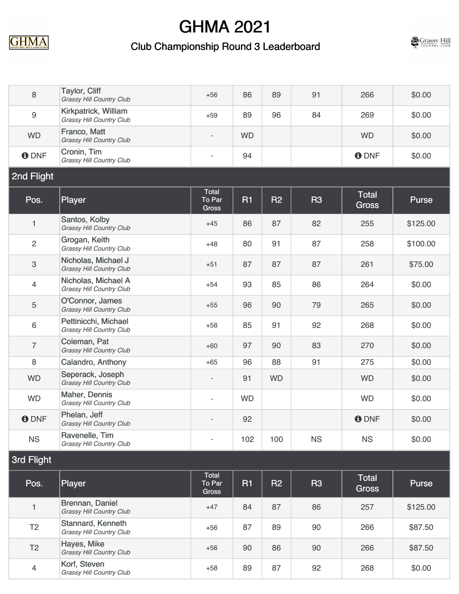





| $\,8\,$                   | <b>Taylor, Cliff</b><br>Grassy Hill Country Club       | $+56$                                  | 86        | 89        | 91        | 266                          | \$0.00       |  |  |
|---------------------------|--------------------------------------------------------|----------------------------------------|-----------|-----------|-----------|------------------------------|--------------|--|--|
| $9\,$                     | Kirkpatrick, William<br>Grassy Hill Country Club       | $+59$                                  | 89        | 96        | 84        | 269                          | \$0.00       |  |  |
| <b>WD</b>                 | Franco, Matt<br>Grassy Hill Country Club               | $\overline{\phantom{a}}$               | <b>WD</b> |           |           | <b>WD</b>                    | \$0.00       |  |  |
| <b>ODNF</b>               | Cronin, Tim<br><b>Grassy Hill Country Club</b>         |                                        | 94        |           |           | <b>O</b> DNF                 | \$0.00       |  |  |
| 2nd Flight                |                                                        |                                        |           |           |           |                              |              |  |  |
| Pos.                      | <b>Player</b>                                          | <b>Total</b><br>To Par<br><b>Gross</b> | <b>R1</b> | R2        | <b>R3</b> | <b>Total</b><br><b>Gross</b> | <b>Purse</b> |  |  |
| $\mathbf{1}$              | Santos, Kolby<br>Grassy Hill Country Club              | $+45$                                  | 86        | 87        | 82        | 255                          | \$125.00     |  |  |
| $\sqrt{2}$                | Grogan, Keith<br>Grassy Hill Country Club              | $+48$                                  | 80        | 91        | 87        | 258                          | \$100.00     |  |  |
| $\ensuremath{\mathsf{3}}$ | Nicholas, Michael J<br><b>Grassy Hill Country Club</b> | $+51$                                  | 87        | 87        | 87        | 261                          | \$75.00      |  |  |
| $\overline{4}$            | Nicholas, Michael A<br>Grassy Hill Country Club        | $+54$                                  | 93        | 85        | 86        | 264                          | \$0.00       |  |  |
| $\mathbf 5$               | O'Connor, James<br>Grassy Hill Country Club            | $+55$                                  | 96        | 90        | 79        | 265                          | \$0.00       |  |  |
| $\,6\,$                   | Pettinicchi, Michael<br>Grassy Hill Country Club       | $+58$                                  | 85        | 91        | 92        | 268                          | \$0.00       |  |  |
| $\overline{7}$            | Coleman, Pat<br>Grassy Hill Country Club               | $+60$                                  | 97        | 90        | 83        | 270                          | \$0.00       |  |  |
| 8                         | Calandro, Anthony                                      | $+65$                                  | 96        | 88        | 91        | 275                          | \$0.00       |  |  |
| <b>WD</b>                 | Seperack, Joseph<br>Grassy Hill Country Club           | $\qquad \qquad \blacksquare$           | 91        | <b>WD</b> |           | <b>WD</b>                    | \$0.00       |  |  |
| <b>WD</b>                 | Maher, Dennis<br>Grassy Hill Country Club              | $\overline{\phantom{m}}$               | <b>WD</b> |           |           | <b>WD</b>                    | \$0.00       |  |  |
| <b>ODNF</b>               | Phelan, Jeff<br><b>Grassy Hill Country Club</b>        |                                        | 92        |           |           | <b>ODNF</b>                  | \$0.00       |  |  |
| <b>NS</b>                 | Ravenelle, Tim<br><b>Grassy Hill Country Club</b>      |                                        | 102       | 100       | <b>NS</b> | <b>NS</b>                    | \$0.00       |  |  |
| 3rd Flight                |                                                        |                                        |           |           |           |                              |              |  |  |
| Pos.                      | <b>Player</b>                                          | <b>Total</b><br>To Par<br><b>Gross</b> | <b>R1</b> | <b>R2</b> | <b>R3</b> | Total<br><b>Gross</b>        | <b>Purse</b> |  |  |
| $\mathbf{1}$              | Brennan, Daniel<br><b>Grassy Hill Country Club</b>     | $+47$                                  | 84        | 87        | 86        | 257                          | \$125.00     |  |  |
| T <sub>2</sub>            | Stannard, Kenneth<br>Grassy Hill Country Club          | $+56$                                  | 87        | 89        | 90        | 266                          | \$87.50      |  |  |
| T <sub>2</sub>            | Hayes, Mike<br>Grassy Hill Country Club                | $+56$                                  | 90        | 86        | 90        | 266                          | \$87.50      |  |  |
| $\overline{4}$            | Korf, Steven<br>Grassy Hill Country Club               | $+58$                                  | 89        | 87        | 92        | 268                          | \$0.00       |  |  |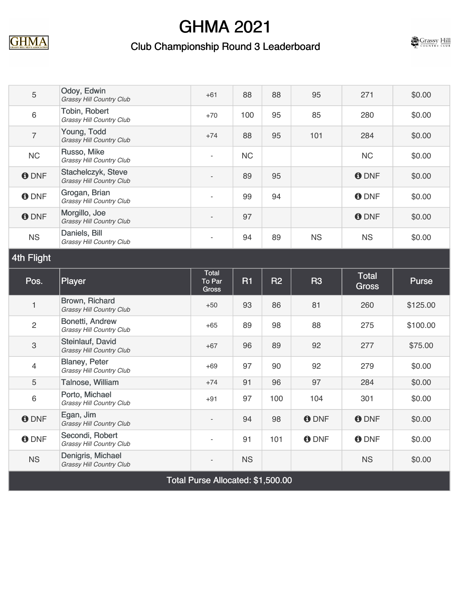





| 5                         | Odoy, Edwin<br><b>Grassy Hill Country Club</b>          | $+61$                        | 88        | 88        | 95          | 271                   | \$0.00   |  |
|---------------------------|---------------------------------------------------------|------------------------------|-----------|-----------|-------------|-----------------------|----------|--|
| 6                         | Tobin, Robert<br>Grassy Hill Country Club               | $+70$                        | 100       | 95        | 85          | 280                   | \$0.00   |  |
| $\overline{7}$            | Young, Todd<br>Grassy Hill Country Club                 | $+74$                        | 88        | 95        | 101         | 284                   | \$0.00   |  |
| NC                        | Russo, Mike<br>Grassy Hill Country Club                 | $\overline{\phantom{a}}$     | <b>NC</b> |           |             | <b>NC</b>             | \$0.00   |  |
| <b>ODNF</b>               | Stachelczyk, Steve<br>Grassy Hill Country Club          |                              | 89        | 95        |             | <b>O</b> DNF          | \$0.00   |  |
| <b>ODNF</b>               | Grogan, Brian<br>Grassy Hill Country Club               | $\overline{\phantom{a}}$     | 99        | 94        |             | <b>O</b> DNF          | \$0.00   |  |
| <b>ODNF</b>               | Morgillo, Joe<br>Grassy Hill Country Club               |                              | 97        |           |             | <b>O</b> DNF          | \$0.00   |  |
| <b>NS</b>                 | Daniels, Bill<br>Grassy Hill Country Club               | $\qquad \qquad \blacksquare$ | 94        | 89        | <b>NS</b>   | <b>NS</b>             | \$0.00   |  |
| 4th Flight                |                                                         |                              |           |           |             |                       |          |  |
| Pos.                      | <b>Player</b>                                           | <b>Total</b><br>To Par       | <b>R1</b> | <b>R2</b> | <b>R3</b>   | Total<br><b>Gross</b> | Purse    |  |
|                           |                                                         | <b>Gross</b>                 |           |           |             |                       |          |  |
| 1                         | Brown, Richard<br>Grassy Hill Country Club              | $+50$                        | 93        | 86        | 81          | 260                   | \$125.00 |  |
| $\overline{2}$            | Bonetti, Andrew<br><b>Grassy Hill Country Club</b>      | $+65$                        | 89        | 98        | 88          | 275                   | \$100.00 |  |
| $\ensuremath{\mathsf{3}}$ | Steinlauf, David<br>Grassy Hill Country Club            | $+67$                        | 96        | 89        | 92          | 277                   | \$75.00  |  |
| 4                         | <b>Blaney, Peter</b><br><b>Grassy Hill Country Club</b> | $+69$                        | 97        | 90        | 92          | 279                   | \$0.00   |  |
| 5                         | Talnose, William                                        | $+74$                        | 91        | 96        | 97          | 284                   | \$0.00   |  |
| 6                         | Porto, Michael<br>Grassy Hill Country Club              | $+91$                        | 97        | 100       | 104         | 301                   | \$0.00   |  |
| <b>O</b> DNF              | Egan, Jim<br>Grassy Hill Country Club                   |                              | 94        | 98        | <b>ODNF</b> | <b>ODNF</b>           | \$0.00   |  |
| <b>ODNF</b>               | Secondi, Robert<br><b>Grassy Hill Country Club</b>      |                              | 91        | 101       | <b>ODNF</b> | <b>O</b> DNF          | \$0.00   |  |
| <b>NS</b>                 | Denigris, Michael<br>Grassy Hill Country Club           |                              | <b>NS</b> |           |             | <b>NS</b>             | \$0.00   |  |